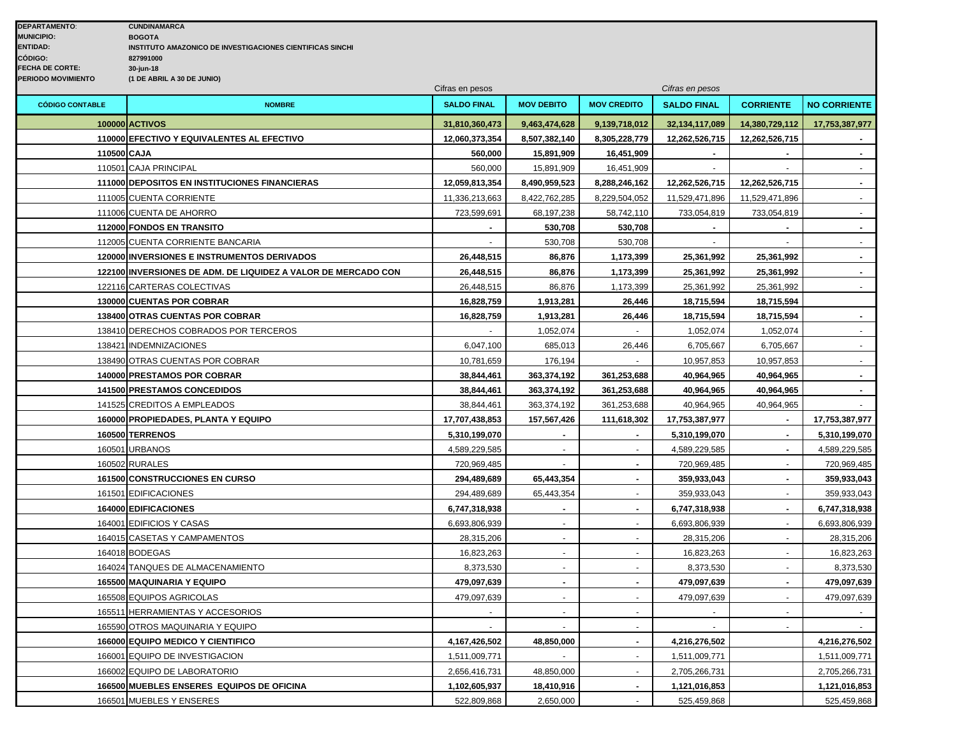|                        |                                                               | Cifras en pesos    |                          |                    | Cifras en pesos    |                  |                     |
|------------------------|---------------------------------------------------------------|--------------------|--------------------------|--------------------|--------------------|------------------|---------------------|
| <b>CÓDIGO CONTABLE</b> | <b>NOMBRE</b>                                                 | <b>SALDO FINAL</b> | <b>MOV DEBITO</b>        | <b>MOV CREDITO</b> | <b>SALDO FINAL</b> | <b>CORRIENTE</b> | <b>NO CORRIENTE</b> |
|                        | 100000 ACTIVOS                                                | 31,810,360,473     | 9,463,474,628            | 9,139,718,012      | 32,134,117,089     | 14,380,729,112   | 17,753,387,977      |
|                        | 110000 EFECTIVO Y EQUIVALENTES AL EFECTIVO                    | 12,060,373,354     | 8,507,382,140            | 8,305,228,779      | 12,262,526,715     | 12,262,526,715   |                     |
| 110500 CAJA            |                                                               | 560,000            | 15,891,909               | 16,451,909         |                    |                  | $\blacksquare$      |
|                        | 110501 CAJA PRINCIPAL                                         | 560,000            | 15,891,909               | 16,451,909         |                    |                  |                     |
|                        | 111000 DEPOSITOS EN INSTITUCIONES FINANCIERAS                 | 12,059,813,354     | 8,490,959,523            | 8,288,246,162      | 12,262,526,715     | 12,262,526,715   | $\sim$              |
|                        | 111005 CUENTA CORRIENTE                                       | 11,336,213,663     | 8,422,762,285            | 8,229,504,052      | 11,529,471,896     | 11,529,471,896   | $\blacksquare$      |
|                        | 111006 CUENTA DE AHORRO                                       | 723,599,691        | 68,197,238               | 58,742,110         | 733,054,819        | 733,054,819      | $\omega$            |
|                        | 112000 FONDOS EN TRANSITO                                     |                    | 530,708                  | 530,708            |                    |                  |                     |
|                        | 112005 CUENTA CORRIENTE BANCARIA                              |                    | 530,708                  | 530,708            | $\blacksquare$     | $\sim$           | $\blacksquare$      |
|                        | <b>120000 INVERSIONES E INSTRUMENTOS DERIVADOS</b>            | 26,448,515         | 86,876                   | 1,173,399          | 25,361,992         | 25,361,992       | $\sim$              |
|                        | 122100 INVERSIONES DE ADM. DE LIQUIDEZ A VALOR DE MERCADO CON | 26,448,515         | 86,876                   | 1,173,399          | 25,361,992         | 25,361,992       | $\blacksquare$      |
|                        | 122116 CARTERAS COLECTIVAS                                    | 26,448,515         | 86,876                   | 1,173,399          | 25,361,992         | 25,361,992       | $\omega$            |
|                        | 130000 CUENTAS POR COBRAR                                     | 16,828,759         | 1,913,281                | 26,446             | 18,715,594         | 18,715,594       |                     |
|                        | 138400 OTRAS CUENTAS POR COBRAR                               | 16,828,759         | 1,913,281                | 26,446             | 18,715,594         | 18,715,594       | $\sim$              |
|                        | 138410 DERECHOS COBRADOS POR TERCEROS                         |                    | 1,052,074                |                    | 1,052,074          | 1,052,074        | $\blacksquare$      |
|                        | 138421 INDEMNIZACIONES                                        | 6,047,100          | 685,013                  | 26,446             | 6,705,667          | 6,705,667        | $\omega$            |
|                        | 138490 OTRAS CUENTAS POR COBRAR                               | 10,781,659         | 176,194                  |                    | 10,957,853         | 10,957,853       |                     |
|                        | 140000 PRESTAMOS POR COBRAR                                   | 38,844,461         | 363,374,192              | 361,253,688        | 40,964,965         | 40,964,965       | $\mathbf{r}$        |
|                        | <b>141500 PRESTAMOS CONCEDIDOS</b>                            | 38,844,461         | 363,374,192              | 361,253,688        | 40,964,965         | 40,964,965       | $\blacksquare$      |
|                        | 141525 CREDITOS A EMPLEADOS                                   | 38,844,461         | 363,374,192              | 361,253,688        | 40,964,965         | 40,964,965       |                     |
|                        | 160000 PROPIEDADES, PLANTA Y EQUIPO                           | 17,707,438,853     | 157,567,426              | 111,618,302        | 17,753,387,977     |                  | 17,753,387,977      |
|                        | 160500 TERRENOS                                               | 5,310,199,070      |                          |                    | 5,310,199,070      |                  | 5,310,199,070       |
| 160501                 | <b>URBANOS</b>                                                | 4,589,229,585      | $\mathbf{r}$             | $\sim$             | 4,589,229,585      | $\blacksquare$   | 4,589,229,585       |
|                        | 160502 RURALES                                                | 720,969,485        |                          | $\sim$             | 720,969,485        | $\sim$           | 720,969,485         |
|                        | 161500 CONSTRUCCIONES EN CURSO                                | 294,489,689        | 65,443,354               |                    | 359,933,043        |                  | 359,933,043         |
|                        | 161501 EDIFICACIONES                                          | 294,489,689        | 65,443,354               |                    | 359,933,043        |                  | 359,933,043         |
|                        | 164000 EDIFICACIONES                                          | 6,747,318,938      | ٠.                       | $\blacksquare$     | 6,747,318,938      | $\blacksquare$   | 6,747,318,938       |
|                        | 164001 EDIFICIOS Y CASAS                                      | 6,693,806,939      | $\overline{\phantom{a}}$ | $\sim$             | 6,693,806,939      | $\sim$           | 6,693,806,939       |
|                        | 164015 CASETAS Y CAMPAMENTOS                                  | 28,315,206         |                          |                    | 28,315,206         |                  | 28,315,206          |
|                        | 164018 BODEGAS                                                | 16,823,263         |                          |                    | 16,823,263         |                  | 16,823,263          |
|                        | 164024 TANQUES DE ALMACENAMIENTO                              | 8,373,530          |                          |                    | 8,373,530          |                  | 8,373,530           |
|                        | <b>165500 MAQUINARIA Y EQUIPO</b>                             | 479,097,639        | $\blacksquare$           | $\sim$             | 479,097,639        | $\blacksquare$   | 479,097,639         |
|                        | 165508 EQUIPOS AGRICOLAS                                      | 479,097,639        | $\overline{\phantom{a}}$ | $\sim$             | 479,097,639        |                  | 479,097,639         |
| 165511                 | <b>HERRAMIENTAS Y ACCESORIOS</b>                              |                    | $\overline{a}$           | $\sim$             |                    |                  |                     |
|                        | 165590 OTROS MAQUINARIA Y EQUIPO                              |                    |                          |                    |                    |                  |                     |
|                        | 166000 EQUIPO MEDICO Y CIENTIFICO                             | 4, 167, 426, 502   | 48,850,000               | $\blacksquare$     | 4,216,276,502      |                  | 4,216,276,502       |
| 166001                 | EQUIPO DE INVESTIGACION                                       | 1,511,009,771      |                          | $\sim$             | 1,511,009,771      |                  | 1,511,009,771       |
|                        | 166002 EQUIPO DE LABORATORIO                                  | 2,656,416,731      | 48,850,000               | $\sim$             | 2,705,266,731      |                  | 2,705,266,731       |
|                        | 166500 MUEBLES ENSERES EQUIPOS DE OFICINA                     | 1,102,605,937      | 18,410,916               |                    | 1,121,016,853      |                  | 1,121,016,853       |
|                        | 166501 MUEBLES Y ENSERES                                      | 522,809,868        | 2,650,000                |                    | 525,459,868        |                  | 525,459,868         |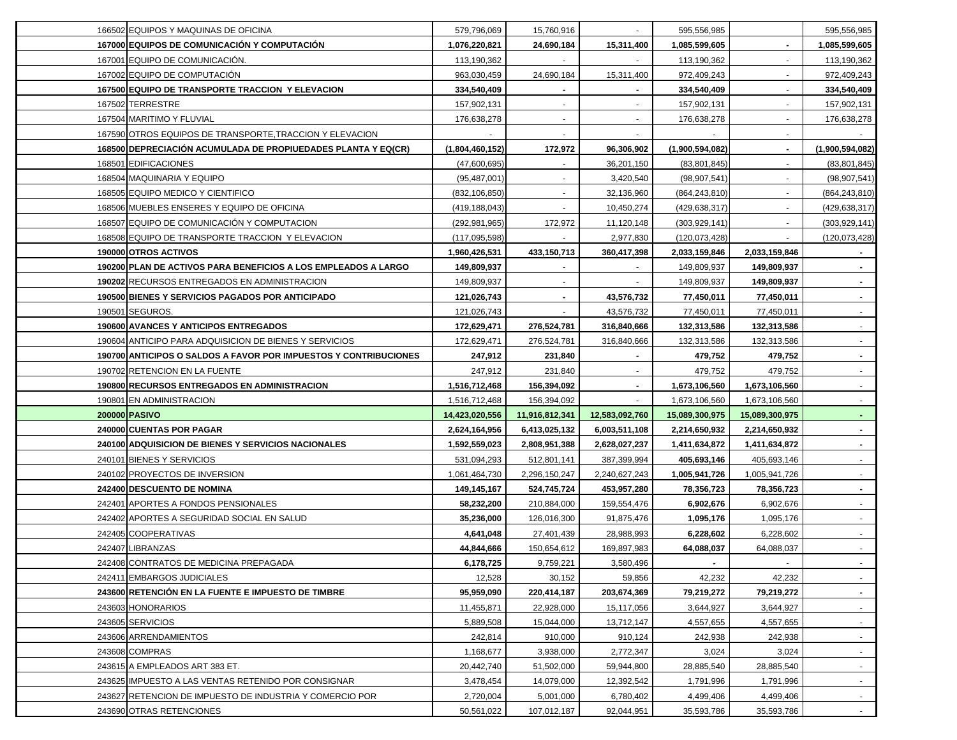| 166502 EQUIPOS Y MAQUINAS DE OFICINA                             | 579,796,069     | 15,760,916     | $\sim$         | 595,556,985     |                | 595,556,985     |
|------------------------------------------------------------------|-----------------|----------------|----------------|-----------------|----------------|-----------------|
| 167000 EQUIPOS DE COMUNICACIÓN Y COMPUTACIÓN                     | 1,076,220,821   | 24,690,184     | 15,311,400     | 1,085,599,605   | $\blacksquare$ | 1,085,599,605   |
| 167001 EQUIPO DE COMUNICACIÓN.                                   | 113,190,362     |                |                | 113,190,362     | $\blacksquare$ | 113,190,362     |
| 167002 EQUIPO DE COMPUTACIÓN                                     | 963,030,459     | 24,690,184     | 15,311,400     | 972,409,243     | $\blacksquare$ | 972,409,243     |
| 167500 EQUIPO DE TRANSPORTE TRACCION Y ELEVACION                 | 334,540,409     |                |                | 334,540,409     |                | 334,540,409     |
| 167502 TERRESTRE                                                 | 157,902,131     |                |                | 157,902,131     |                | 157,902,131     |
| 167504 MARITIMO Y FLUVIAL                                        | 176,638,278     |                |                | 176,638,278     |                | 176,638,278     |
| 167590 OTROS EQUIPOS DE TRANSPORTE, TRACCION Y ELEVACION         |                 |                |                |                 |                |                 |
| 168500 DEPRECIACIÓN ACUMULADA DE PROPIUEDADES PLANTA Y EQ(CR)    | (1,804,460,152) | 172,972        | 96,306,902     | (1,900,594,082) |                | (1,900,594,082) |
| 168501 EDIFICACIONES                                             | (47,600,695)    |                | 36,201,150     | (83, 801, 845)  |                | (83, 801, 845)  |
| 168504 MAQUINARIA Y EQUIPO                                       | (95, 487, 001)  |                | 3,420,540      | (98, 907, 541)  |                | (98, 907, 541)  |
| 168505 EQUIPO MEDICO Y CIENTIFICO                                | (832, 106, 850) |                | 32,136,960     | (864, 243, 810) |                | (864, 243, 810) |
| 168506 MUEBLES ENSERES Y EQUIPO DE OFICINA                       | (419, 188, 043) |                | 10,450,274     | (429, 638, 317) |                | (429, 638, 317) |
| 168507 EQUIPO DE COMUNICACIÓN Y COMPUTACIÓN                      | (292, 981, 965) | 172,972        | 11,120,148     | (303, 929, 141) |                | (303, 929, 141) |
| 168508 EQUIPO DE TRANSPORTE TRACCION Y ELEVACION                 | (117, 095, 598) |                | 2,977,830      | (120, 073, 428) |                | (120, 073, 428) |
| 190000 OTROS ACTIVOS                                             | 1,960,426,531   | 433,150,713    | 360,417,398    | 2,033,159,846   | 2,033,159,846  |                 |
| 190200 PLAN DE ACTIVOS PARA BENEFICIOS A LOS EMPLEADOS A LARGO   | 149,809,937     |                |                | 149,809,937     | 149,809,937    |                 |
| 190202 RECURSOS ENTREGADOS EN ADMINISTRACION                     | 149,809,937     |                |                | 149,809,937     | 149,809,937    |                 |
| 190500 BIENES Y SERVICIOS PAGADOS POR ANTICIPADO                 | 121,026,743     |                | 43,576,732     | 77,450,011      | 77,450,011     |                 |
| 190501 SEGUROS.                                                  | 121,026,743     |                | 43,576,732     | 77,450,011      | 77,450,011     |                 |
| 190600 AVANCES Y ANTICIPOS ENTREGADOS                            | 172,629,471     | 276,524,781    | 316,840,666    | 132,313,586     | 132,313,586    |                 |
| 190604 ANTICIPO PARA ADQUISICION DE BIENES Y SERVICIOS           | 172,629,471     | 276,524,781    | 316,840,666    | 132,313,586     | 132,313,586    | $\sim$          |
| 190700 ANTICIPOS O SALDOS A FAVOR POR IMPUESTOS Y CONTRIBUCIONES | 247,912         | 231,840        |                | 479,752         | 479,752        | $\blacksquare$  |
| 190702 RETENCION EN LA FUENTE                                    | 247,912         | 231,840        | ۰.             | 479,752         | 479,752        | $\sim$          |
| 190800 RECURSOS ENTREGADOS EN ADMINISTRACION                     | 1,516,712,468   | 156,394,092    | $\blacksquare$ | 1,673,106,560   | 1,673,106,560  | $\sim$          |
| 190801 EN ADMINISTRACION                                         | 1,516,712,468   | 156,394,092    | $\sim$         | 1,673,106,560   | 1,673,106,560  | $\sim$          |
| 200000 PASIVO                                                    | 14,423,020,556  | 11,916,812,341 | 12,583,092,760 | 15,089,300,975  | 15,089,300,975 | $\sim$          |
| 240000 CUENTAS POR PAGAR                                         | 2,624,164,956   | 6,413,025,132  | 6,003,511,108  | 2,214,650,932   | 2,214,650,932  | $\sim$          |
| <b>240100 ADQUISICION DE BIENES Y SERVICIOS NACIONALES</b>       | 1,592,559,023   | 2,808,951,388  | 2,628,027,237  | 1,411,634,872   | 1,411,634,872  | $\sim$          |
| 240101 BIENES Y SERVICIOS                                        | 531,094,293     | 512,801,141    | 387,399,994    | 405,693,146     | 405,693,146    |                 |
| 240102 PROYECTOS DE INVERSION                                    | 1,061,464,730   | 2,296,150,247  | 2,240,627,243  | 1,005,941,726   | 1,005,941,726  | $\sim$          |
| 242400 DESCUENTO DE NOMINA                                       | 149,145,167     | 524,745,724    | 453,957,280    | 78,356,723      | 78,356,723     | $\sim$          |
| 242401 APORTES A FONDOS PENSIONALES                              | 58,232,200      | 210,884,000    | 159,554,476    | 6,902,676       | 6,902,676      |                 |
| 242402 APORTES A SEGURIDAD SOCIAL EN SALUD                       | 35,236,000      | 126,016,300    | 91,875,476     | 1,095,176       | 1,095,176      |                 |
| 242405 COOPERATIVAS                                              | 4,641,048       | 27,401,439     | 28,988,993     | 6,228,602       | 6,228,602      |                 |
| 242407 LIBRANZAS                                                 | 44,844,666      | 150,654,612    | 169,897,983    | 64,088,037      | 64,088,037     |                 |
| 242408 CONTRATOS DE MEDICINA PREPAGADA                           | 6,178,725       | 9,759,221      | 3,580,496      | $\sim$          | $\sim$         | $\sim$          |
| 242411 EMBARGOS JUDICIALES                                       | 12,528          | 30,152         | 59,856         | 42,232          | 42,232         | $\sim$          |
| 243600 RETENCIÓN EN LA FUENTE E IMPUESTO DE TIMBRE               | 95,959,090      | 220,414,187    | 203,674,369    | 79,219,272      | 79,219,272     | $\sim$          |
| 243603 HONORARIOS                                                | 11,455,871      | 22,928,000     | 15,117,056     | 3,644,927       | 3,644,927      | $\blacksquare$  |
| 243605 SERVICIOS                                                 | 5,889,508       | 15,044,000     | 13,712,147     | 4,557,655       | 4,557,655      | $\sim$          |
| 243606 ARRENDAMIENTOS                                            | 242,814         | 910,000        | 910,124        | 242,938         | 242,938        |                 |
| 243608 COMPRAS                                                   | 1,168,677       | 3,938,000      | 2,772,347      | 3,024           | 3,024          | $\sim$          |
| 243615 A EMPLEADOS ART 383 ET.                                   | 20,442,740      | 51,502,000     | 59,944,800     | 28,885,540      | 28,885,540     | $\sim$          |
| 243625 IMPUESTO A LAS VENTAS RETENIDO POR CONSIGNAR              | 3,478,454       | 14,079,000     | 12,392,542     | 1,791,996       | 1,791,996      | $\blacksquare$  |
| 243627 RETENCION DE IMPUESTO DE INDUSTRIA Y COMERCIO POR         | 2,720,004       | 5,001,000      | 6,780,402      | 4,499,406       | 4,499,406      | $\sim$          |
| 243690 OTRAS RETENCIONES                                         | 50,561,022      | 107,012,187    | 92,044,951     | 35,593,786      | 35,593,786     | $\sim$          |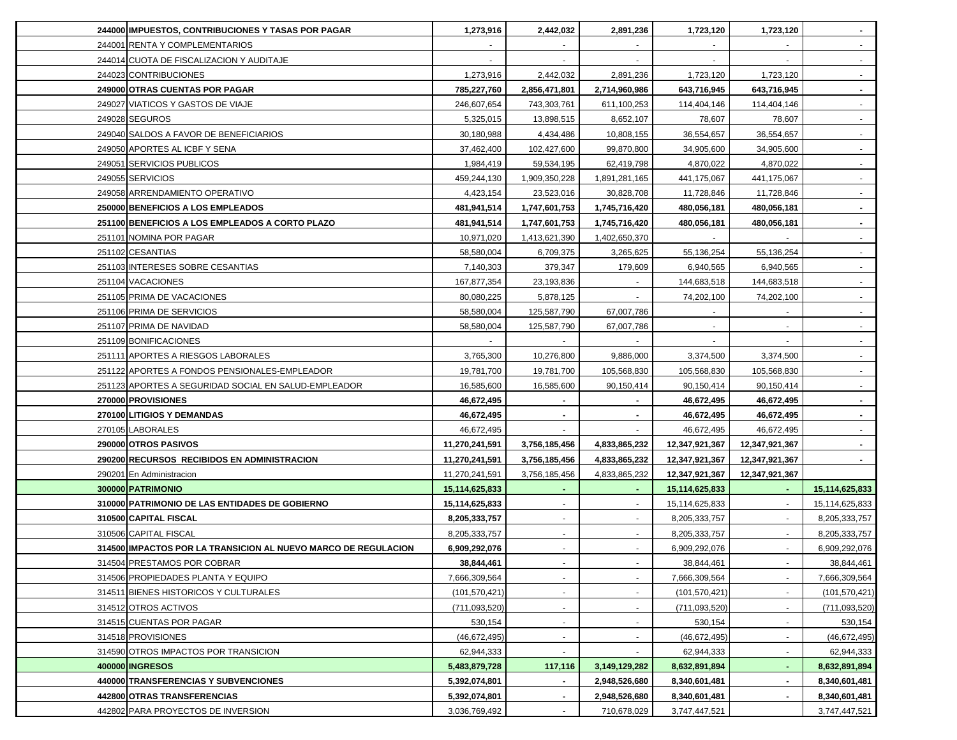| 244000 IMPUESTOS, CONTRIBUCIONES Y TASAS POR PAGAR             | 1,273,916                | 2,442,032                | 2,891,236     | 1,723,120       | 1,723,120      | $\sim$          |
|----------------------------------------------------------------|--------------------------|--------------------------|---------------|-----------------|----------------|-----------------|
| 244001 RENTA Y COMPLEMENTARIOS                                 |                          |                          | $\sim$        |                 |                | $\sim$          |
| 244014 CUOTA DE FISCALIZACION Y AUDITAJE                       | $\overline{\phantom{a}}$ | $\overline{\phantom{a}}$ | $\sim$        | $\sim$          | $\sim$         | $\sim$          |
| 244023 CONTRIBUCIONES                                          | 1,273,916                | 2,442,032                | 2,891,236     | 1,723,120       | 1,723,120      | $\sim$          |
| 249000 OTRAS CUENTAS POR PAGAR                                 | 785,227,760              | 2,856,471,801            | 2,714,960,986 | 643,716,945     | 643,716,945    | $\sim$          |
| 249027 VIATICOS Y GASTOS DE VIAJE                              | 246,607,654              | 743,303,761              | 611,100,253   | 114,404,146     | 114,404,146    | $\blacksquare$  |
| 249028 SEGUROS                                                 | 5,325,015                | 13,898,515               | 8,652,107     | 78,607          | 78,607         | $\sim$          |
| 249040 SALDOS A FAVOR DE BENEFICIARIOS                         | 30,180,988               | 4,434,486                | 10,808,155    | 36,554,657      | 36,554,657     | $\sim$          |
| 249050 APORTES AL ICBF Y SENA                                  | 37,462,400               | 102,427,600              | 99,870,800    | 34,905,600      | 34,905,600     | $\sim$          |
| 249051 SERVICIOS PUBLICOS                                      | 1,984,419                | 59,534,195               | 62,419,798    | 4,870,022       | 4,870,022      |                 |
| 249055 SERVICIOS                                               | 459,244,130              | 1,909,350,228            | 1,891,281,165 | 441,175,067     | 441,175,067    |                 |
| 249058 ARRENDAMIENTO OPERATIVO                                 | 4,423,154                | 23,523,016               | 30,828,708    | 11,728,846      | 11,728,846     |                 |
| 250000 BENEFICIOS A LOS EMPLEADOS                              | 481,941,514              | 1,747,601,753            | 1,745,716,420 | 480,056,181     | 480,056,181    |                 |
| 251100 BENEFICIOS A LOS EMPLEADOS A CORTO PLAZO                | 481,941,514              | 1,747,601,753            | 1,745,716,420 | 480,056,181     | 480,056,181    | $\sim$          |
| 251101 NOMINA POR PAGAR                                        | 10,971,020               | 1,413,621,390            | 1,402,650,370 |                 |                | $\sim$          |
| 251102 CESANTIAS                                               | 58,580,004               | 6,709,375                | 3,265,625     | 55,136,254      | 55,136,254     | $\sim$          |
| 251103 INTERESES SOBRE CESANTIAS                               | 7,140,303                | 379,347                  | 179,609       | 6,940,565       | 6,940,565      | $\sim$          |
| 251104 VACACIONES                                              | 167,877,354              | 23,193,836               |               | 144,683,518     | 144,683,518    |                 |
| 251105 PRIMA DE VACACIONES                                     | 80,080,225               | 5,878,125                |               | 74,202,100      | 74,202,100     |                 |
| 251106 PRIMA DE SERVICIOS                                      | 58,580,004               | 125,587,790              | 67,007,786    |                 |                |                 |
| 251107 PRIMA DE NAVIDAD                                        | 58,580,004               | 125,587,790              | 67,007,786    |                 |                | $\sim$          |
| 251109 BONIFICACIONES                                          |                          |                          |               |                 |                |                 |
| 251111 APORTES A RIESGOS LABORALES                             | 3,765,300                | 10,276,800               | 9,886,000     | 3,374,500       | 3,374,500      |                 |
| 251122 APORTES A FONDOS PENSIONALES-EMPLEADOR                  | 19,781,700               | 19,781,700               | 105,568,830   | 105,568,830     | 105,568,830    | $\sim$          |
| 251123 APORTES A SEGURIDAD SOCIAL EN SALUD-EMPLEADOR           | 16,585,600               | 16,585,600               | 90,150,414    | 90,150,414      | 90,150,414     | $\sim$          |
| 270000 PROVISIONES                                             | 46,672,495               | $\sim$                   | $\sim$        | 46,672,495      | 46,672,495     | $\sim$          |
| 270100 LITIGIOS Y DEMANDAS                                     | 46,672,495               | $\sim$                   | $\sim$        | 46,672,495      | 46,672,495     | $\sim$          |
| 270105 LABORALES                                               | 46,672,495               | $\sim$                   | $\sim$        | 46,672,495      | 46,672,495     | $\sim$          |
| 290000 OTROS PASIVOS                                           | 11,270,241,591           | 3,756,185,456            | 4,833,865,232 | 12,347,921,367  | 12,347,921,367 | $\sim$          |
| 290200 RECURSOS RECIBIDOS EN ADMINISTRACION                    | 11,270,241,591           | 3,756,185,456            | 4,833,865,232 | 12,347,921,367  | 12,347,921,367 | $\sim$          |
| 290201 En Administracion                                       | 11,270,241,591           | 3,756,185,456            | 4,833,865,232 | 12,347,921,367  | 12,347,921,367 |                 |
| 300000 PATRIMONIO                                              | 15,114,625,833           |                          | $\sim$        | 15,114,625,833  |                | 15,114,625,833  |
| 310000 PATRIMONIO DE LAS ENTIDADES DE GOBIERNO                 | 15,114,625,833           |                          | $\sim$        | 15,114,625,833  |                | 15,114,625,833  |
| 310500 CAPITAL FISCAL                                          | 8,205,333,757            |                          |               | 8,205,333,757   |                | 8,205,333,757   |
| 310506 CAPITAL FISCAL                                          | 8,205,333,757            |                          |               | 8,205,333,757   |                | 8,205,333,757   |
| 314500 IMPACTOS POR LA TRANSICION AL NUEVO MARCO DE REGULACION | 6,909,292,076            | $\blacksquare$           | $\sim$        | 6,909,292,076   |                | 6,909,292,076   |
| 314504 PRESTAMOS POR COBRAR                                    | 38,844,461               | $\sim$                   |               | 38,844,461      |                | 38,844,461      |
| 314506 PROPIEDADES PLANTA Y EQUIPO                             | 7,666,309,564            |                          | $\sim$        | 7,666,309,564   |                | 7,666,309,564   |
| 314511 BIENES HISTORICOS Y CULTURALES                          | (101, 570, 421)          |                          | $\sim$        | (101, 570, 421) |                | (101, 570, 421) |
| 314512 OTROS ACTIVOS                                           | (711, 093, 520)          |                          | $\sim$        | (711, 093, 520) |                | (711, 093, 520) |
| 314515 CUENTAS POR PAGAR                                       | 530,154                  |                          |               | 530,154         |                | 530,154         |
| 314518 PROVISIONES                                             | (46, 672, 495)           |                          |               | (46, 672, 495)  |                | (46,672,495)    |
| 314590 OTROS IMPACTOS POR TRANSICION                           | 62,944,333               |                          |               | 62,944,333      |                | 62,944,333      |
| 400000 INGRESOS                                                | 5,483,879,728            | 117,116                  | 3,149,129,282 | 8,632,891,894   |                | 8,632,891,894   |
| 440000 TRANSFERENCIAS Y SUBVENCIONES                           | 5,392,074,801            |                          | 2,948,526,680 | 8,340,601,481   |                | 8,340,601,481   |
| 442800 OTRAS TRANSFERENCIAS                                    | 5,392,074,801            |                          | 2,948,526,680 | 8,340,601,481   |                | 8,340,601,481   |
| 442802 PARA PROYECTOS DE INVERSION                             | 3,036,769,492            |                          | 710,678,029   | 3,747,447,521   |                | 3,747,447,521   |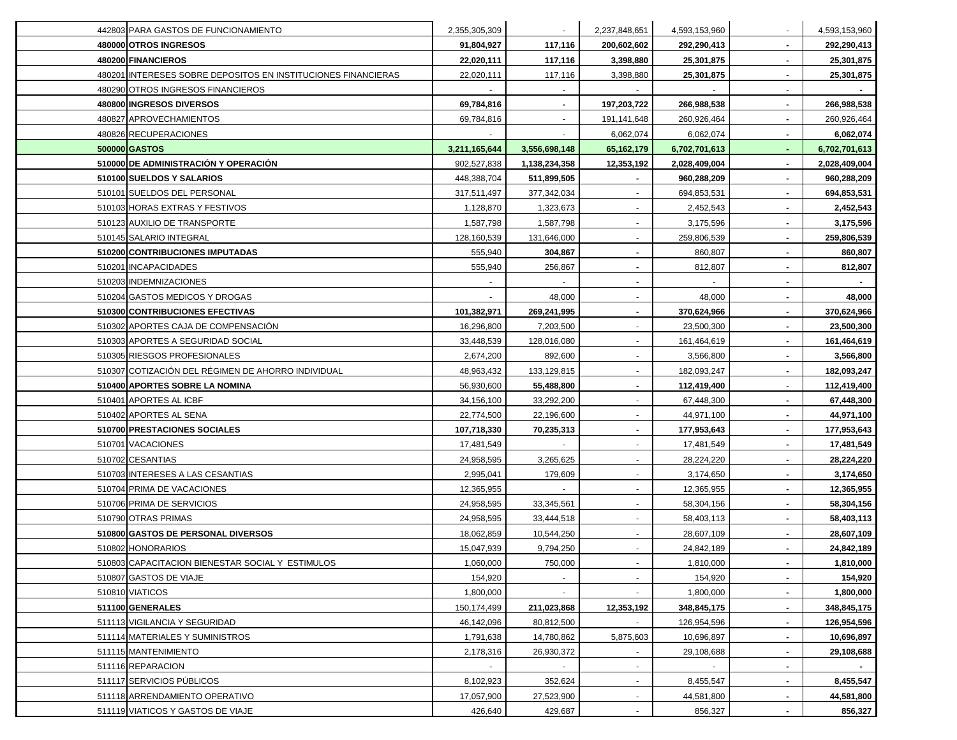| 442803 PARA GASTOS DE FUNCIONAMIENTO                          | 2,355,305,309 |                | 2,237,848,651            | 4,593,153,960 |                | 4,593,153,960 |
|---------------------------------------------------------------|---------------|----------------|--------------------------|---------------|----------------|---------------|
| 480000 OTROS INGRESOS                                         | 91,804,927    | 117,116        | 200,602,602              | 292,290,413   |                | 292,290,413   |
| 480200 FINANCIEROS                                            | 22,020,111    | 117,116        | 3,398,880                | 25,301,875    |                | 25,301,875    |
| 480201 INTERESES SOBRE DEPOSITOS EN INSTITUCIONES FINANCIERAS | 22,020,111    | 117,116        | 3,398,880                | 25,301,875    |                | 25,301,875    |
| 480290 OTROS INGRESOS FINANCIEROS                             |               | $\blacksquare$ |                          |               |                |               |
| 480800 INGRESOS DIVERSOS                                      | 69,784,816    | $\sim$         | 197,203,722              | 266,988,538   | $\blacksquare$ | 266,988,538   |
| 480827 APROVECHAMIENTOS                                       | 69,784,816    | $\blacksquare$ | 191,141,648              | 260,926,464   |                | 260,926,464   |
| 480826 RECUPERACIONES                                         |               |                | 6,062,074                | 6,062,074     |                | 6,062,074     |
| 500000 GASTOS                                                 | 3,211,165,644 | 3,556,698,148  | 65,162,179               | 6,702,701,613 |                | 6,702,701,613 |
| 510000 DE ADMINISTRACIÓN Y OPERACION                          | 902,527,838   | 1,138,234,358  | 12,353,192               | 2,028,409,004 |                | 2,028,409,004 |
| 510100 SUELDOS Y SALARIOS                                     | 448,388,704   | 511,899,505    |                          | 960,288,209   |                | 960,288,209   |
| 510101 SUELDOS DEL PERSONAL                                   | 317,511,497   | 377,342,034    |                          | 694,853,531   |                | 694,853,531   |
| 510103 HORAS EXTRAS Y FESTIVOS                                | 1,128,870     | 1,323,673      |                          | 2,452,543     |                | 2,452,543     |
| 510123 AUXILIO DE TRANSPORTE                                  | 1,587,798     | 1,587,798      |                          | 3,175,596     |                | 3,175,596     |
| 510145 SALARIO INTEGRAL                                       | 128,160,539   | 131,646,000    |                          | 259,806,539   |                | 259,806,539   |
| 510200 CONTRIBUCIONES IMPUTADAS                               | 555,940       | 304,867        |                          | 860,807       |                | 860,807       |
| 510201 INCAPACIDADES                                          | 555,940       | 256,867        | $\blacksquare$           | 812,807       |                | 812,807       |
| 510203 INDEMNIZACIONES                                        |               |                | $\blacksquare$           |               |                |               |
| 510204 GASTOS MEDICOS Y DROGAS                                |               | 48,000         | $\blacksquare$           | 48,000        |                | 48,000        |
| 510300 CONTRIBUCIONES EFECTIVAS                               | 101,382,971   | 269,241,995    |                          | 370,624,966   |                | 370,624,966   |
| 510302 APORTES CAJA DE COMPENSACIÓN                           | 16,296,800    | 7,203,500      |                          | 23,500,300    |                | 23,500,300    |
| 510303 APORTES A SEGURIDAD SOCIAL                             | 33,448,539    | 128,016,080    |                          | 161,464,619   |                | 161,464,619   |
| 510305 RIESGOS PROFESIONALES                                  | 2,674,200     | 892,600        |                          | 3,566,800     |                | 3,566,800     |
| 510307 COTIZACIÓN DEL RÉGIMEN DE AHORRO INDIVIDUAL            | 48,963,432    | 133,129,815    |                          | 182,093,247   |                | 182,093,247   |
| 510400 APORTES SOBRE LA NOMINA                                | 56,930,600    | 55,488,800     |                          | 112,419,400   |                | 112,419,400   |
| 510401 APORTES AL ICBF                                        | 34,156,100    | 33,292,200     | $\overline{\phantom{a}}$ | 67,448,300    |                | 67,448,300    |
| 510402 APORTES AL SENA                                        | 22,774,500    | 22,196,600     |                          | 44,971,100    |                | 44,971,100    |
| 510700 PRESTACIONES SOCIALES                                  | 107,718,330   | 70,235,313     | $\blacksquare$           | 177,953,643   |                | 177,953,643   |
| 510701 VACACIONES                                             | 17,481,549    | $\sim$         | $\blacksquare$           | 17,481,549    |                | 17,481,549    |
| 510702 CESANTIAS                                              | 24,958,595    | 3,265,625      | $\sim$                   | 28,224,220    |                | 28,224,220    |
| 510703 INTERESES A LAS CESANTIAS                              | 2,995,041     | 179,609        | $\blacksquare$           | 3,174,650     |                | 3,174,650     |
| 510704 PRIMA DE VACACIONES                                    | 12,365,955    | $\blacksquare$ | $\blacksquare$           | 12,365,955    |                | 12,365,955    |
| 510706 PRIMA DE SERVICIOS                                     | 24,958,595    | 33,345,561     | $\blacksquare$           | 58,304,156    |                | 58,304,156    |
| 510790 OTRAS PRIMAS                                           | 24,958,595    | 33,444,518     |                          | 58,403,113    |                | 58,403,113    |
| 510800 GASTOS DE PERSONAL DIVERSOS                            | 18,062,859    | 10,544,250     |                          | 28,607,109    |                | 28,607,109    |
| 510802 HONORARIOS                                             | 15,047,939    | 9,794,250      |                          | 24,842,189    |                | 24,842,189    |
| 510803 CAPACITACION BIENESTAR SOCIAL Y ESTIMULOS              | 1,060,000     | 750,000        |                          | 1,810,000     |                | 1,810,000     |
| 510807 GASTOS DE VIAJE                                        | 154,920       |                |                          | 154,920       |                | 154,920       |
| 510810 VIATICOS                                               | 1,800,000     |                |                          | 1,800,000     |                | 1,800,000     |
| 511100 GENERALES                                              | 150,174,499   | 211,023,868    | 12,353,192               | 348,845,175   |                | 348,845,175   |
| 511113 VIGILANCIA Y SEGURIDAD                                 | 46,142,096    | 80,812,500     |                          | 126,954,596   |                | 126,954,596   |
| 511114 MATERIALES Y SUMINISTROS                               | 1,791,638     | 14,780,862     | 5,875,603                | 10,696,897    |                | 10,696,897    |
| 511115 MANTENIMIENTO                                          | 2,178,316     | 26,930,372     | $\sim$                   | 29,108,688    |                | 29,108,688    |
| 511116 REPARACION                                             |               |                |                          | $\sim$        |                |               |
| 511117 SERVICIOS PÚBLICOS                                     | 8,102,923     | 352,624        | $\sim$                   | 8,455,547     |                | 8,455,547     |
| 511118 ARRENDAMIENTO OPERATIVO                                | 17,057,900    | 27,523,900     | $\blacksquare$           | 44,581,800    |                | 44,581,800    |
| 511119 VIATICOS Y GASTOS DE VIAJE                             | 426,640       | 429,687        |                          | 856,327       |                | 856,327       |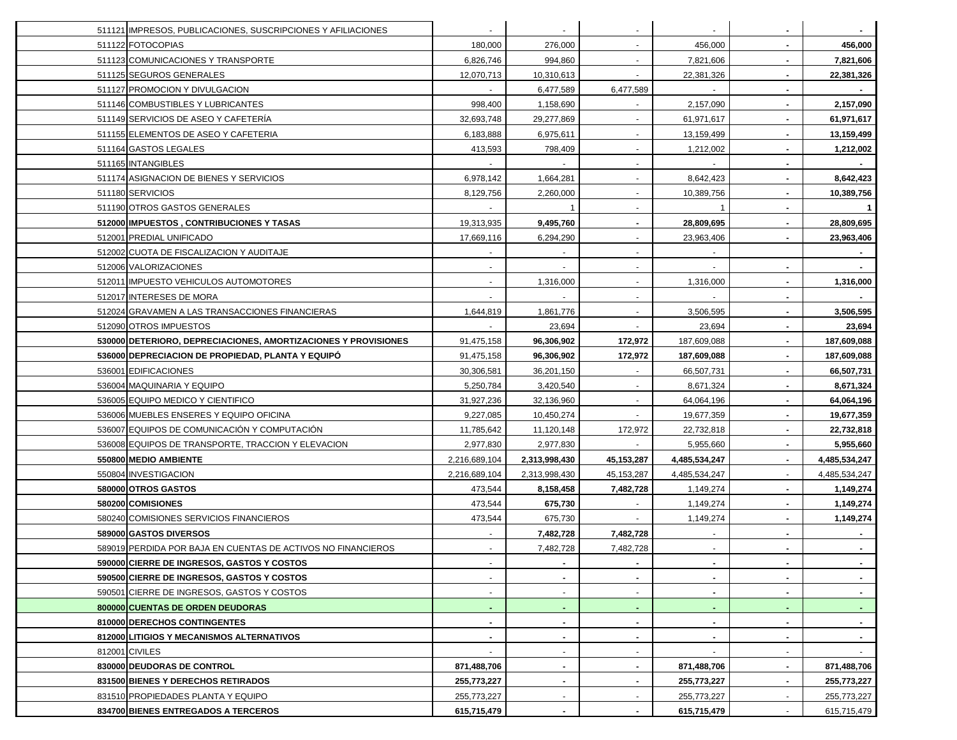| 511121 IMPRESOS, PUBLICACIONES, SUSCRIPCIONES Y AFILIACIONES   |               |                |                |                |                |                |
|----------------------------------------------------------------|---------------|----------------|----------------|----------------|----------------|----------------|
| 511122 FOTOCOPIAS                                              | 180,000       | 276,000        | $\sim$         | 456,000        | $\blacksquare$ | 456,000        |
| 511123 COMUNICACIONES Y TRANSPORTE                             | 6,826,746     | 994,860        | $\sim$         | 7,821,606      | $\blacksquare$ | 7,821,606      |
| 511125 SEGUROS GENERALES                                       | 12,070,713    | 10,310,613     | $\sim$         | 22,381,326     |                | 22,381,326     |
| 511127 PROMOCION Y DIVULGACION                                 |               | 6,477,589      | 6,477,589      |                |                |                |
| 511146 COMBUSTIBLES Y LUBRICANTES                              | 998,400       | 1,158,690      |                | 2,157,090      |                | 2,157,090      |
| 511149 SERVICIOS DE ASEO Y CAFETERIA                           | 32,693,748    | 29,277,869     |                | 61,971,617     |                | 61,971,617     |
| 511155 ELEMENTOS DE ASEO Y CAFETERIA                           | 6,183,888     | 6,975,611      |                | 13,159,499     |                | 13,159,499     |
| 511164 GASTOS LEGALES                                          | 413,593       | 798,409        |                | 1,212,002      |                | 1,212,002      |
| 511165 INTANGIBLES                                             |               |                |                |                |                |                |
| 511174 ASIGNACION DE BIENES Y SERVICIOS                        | 6,978,142     | 1,664,281      |                | 8,642,423      |                | 8,642,423      |
| 511180 SERVICIOS                                               | 8,129,756     | 2,260,000      |                | 10,389,756     |                | 10,389,756     |
| 511190 OTROS GASTOS GENERALES                                  |               |                |                |                |                | $\mathbf{1}$   |
| 512000 IMPUESTOS, CONTRIBUCIONES Y TASAS                       | 19,313,935    | 9,495,760      | $\sim$         | 28,809,695     |                | 28,809,695     |
| 512001 PREDIAL UNIFICADO                                       | 17,669,116    | 6,294,290      | $\sim$         | 23,963,406     |                | 23,963,406     |
| 512002 CUOTA DE FISCALIZACION Y AUDITAJE                       |               |                |                |                |                |                |
| 512006 VALORIZACIONES                                          |               |                | $\blacksquare$ |                |                |                |
| 512011 IMPUESTO VEHICULOS AUTOMOTORES                          |               | 1,316,000      |                | 1,316,000      |                | 1,316,000      |
| 512017 INTERESES DE MORA                                       |               |                |                |                |                |                |
| 512024 GRAVAMEN A LAS TRANSACCIONES FINANCIERAS                | 1,644,819     | 1,861,776      |                | 3,506,595      |                | 3,506,595      |
| 512090 OTROS IMPUESTOS                                         |               | 23,694         |                | 23,694         |                | 23,694         |
| 530000 DETERIORO, DEPRECIACIONES, AMORTIZACIONES Y PROVISIONES | 91,475,158    | 96,306,902     | 172,972        | 187,609,088    |                | 187,609,088    |
| 536000 DEPRECIACION DE PROPIEDAD, PLANTA Y EQUIPÓ              | 91,475,158    | 96,306,902     | 172,972        | 187,609,088    |                | 187,609,088    |
| 536001 EDIFICACIONES                                           | 30,306,581    | 36,201,150     |                | 66,507,731     |                | 66,507,731     |
| 536004 MAQUINARIA Y EQUIPO                                     | 5,250,784     | 3,420,540      | $\sim$         | 8,671,324      |                | 8,671,324      |
| 536005 EQUIPO MEDICO Y CIENTIFICO                              | 31,927,236    | 32,136,960     | $\sim$         | 64,064,196     | $\blacksquare$ | 64,064,196     |
| 536006 MUEBLES ENSERES Y EQUIPO OFICINA                        | 9,227,085     | 10,450,274     | $\sim$         | 19,677,359     | $\blacksquare$ | 19,677,359     |
| 536007 EQUIPOS DE COMUNICACIÓN Y COMPUTACIÓN                   | 11,785,642    | 11,120,148     | 172,972        | 22,732,818     | $\blacksquare$ | 22,732,818     |
| 536008 EQUIPOS DE TRANSPORTE, TRACCION Y ELEVACION             | 2,977,830     | 2,977,830      |                | 5,955,660      | $\blacksquare$ | 5,955,660      |
| 550800 MEDIO AMBIENTE                                          | 2,216,689,104 | 2,313,998,430  | 45, 153, 287   | 4,485,534,247  | $\blacksquare$ | 4,485,534,247  |
| 550804 INVESTIGACION                                           | 2,216,689,104 | 2,313,998,430  | 45, 153, 287   | 4,485,534,247  |                | 4,485,534,247  |
| 580000 OTROS GASTOS                                            | 473,544       | 8,158,458      | 7,482,728      | 1,149,274      |                | 1,149,274      |
| 580200 COMISIONES                                              | 473,544       | 675,730        |                | 1,149,274      |                | 1,149,274      |
| 580240 COMISIONES SERVICIOS FINANCIEROS                        | 473,544       | 675,730        |                | 1,149,274      |                | 1,149,274      |
| 589000 GASTOS DIVERSOS                                         |               | 7,482,728      | 7,482,728      |                |                |                |
| 589019 PERDIDA POR BAJA EN CUENTAS DE ACTIVOS NO FINANCIEROS   |               | 7,482,728      | 7,482,728      |                |                |                |
| 590000 CIERRE DE INGRESOS, GASTOS Y COSTOS                     |               | $\blacksquare$ |                |                | $\sim$         |                |
| 590500 CIERRE DE INGRESOS, GASTOS Y COSTOS                     |               | $\blacksquare$ |                | $\blacksquare$ | $\blacksquare$ | $\sim$         |
| 590501 CIERRE DE INGRESOS, GASTOS Y COSTOS                     |               | ۰              | $\sim$         | ٠              | $\blacksquare$ | $\sim$         |
| 800000 CUENTAS DE ORDEN DEUDORAS                               |               | ٠              | $\sim$         | $\blacksquare$ |                | $\sim$         |
| 810000 DERECHOS CONTINGENTES                                   |               | ۰              |                | $\blacksquare$ |                | $\blacksquare$ |
| 812000 LITIGIOS Y MECANISMOS ALTERNATIVOS                      |               | ۰              | $\blacksquare$ | $\blacksquare$ |                | $\sim$         |
| 812001 CIVILES                                                 |               |                |                |                |                |                |
| 830000 DEUDORAS DE CONTROL                                     | 871,488,706   |                |                | 871,488,706    |                | 871,488,706    |
| 831500 BIENES Y DERECHOS RETIRADOS                             | 255,773,227   | ٠              |                | 255,773,227    |                | 255,773,227    |
| 831510 PROPIEDADES PLANTA Y EQUIPO                             | 255,773,227   |                |                | 255,773,227    |                | 255,773,227    |
| 834700 BIENES ENTREGADOS A TERCEROS                            | 615,715,479   |                |                | 615,715,479    |                | 615,715,479    |